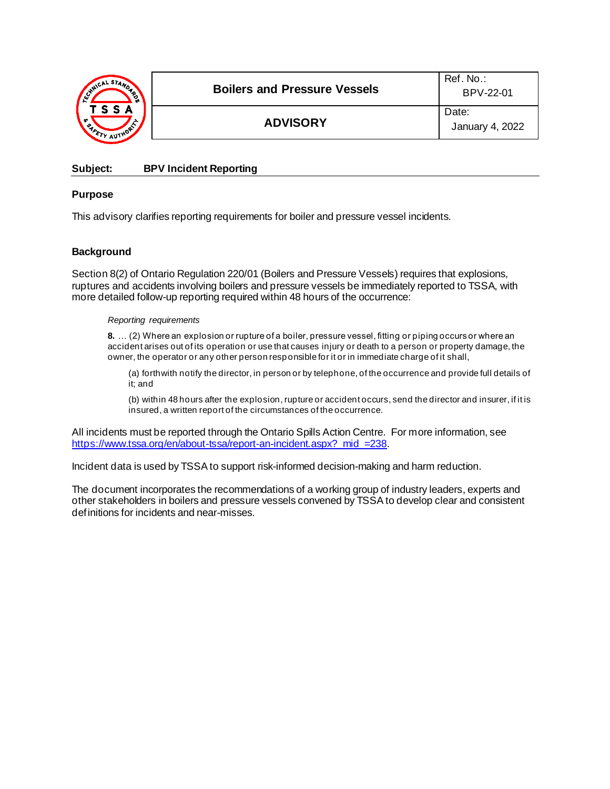| <b>ANICAL STAND</b><br>డి,<br>TSSA<br>e, | <b>Boilers and Pressure Vessels</b> | Ref No:<br>BPV-22-01     |
|------------------------------------------|-------------------------------------|--------------------------|
|                                          | <b>ADVISORY</b>                     | Date:<br>January 4, 2022 |

## **Subject: BPV Incident Reporting**

## **Purpose**

This advisory clarifies reporting requirements for boiler and pressure vessel incidents.

## **Background**

Section 8(2) of Ontario Regulation 220/01 (Boilers and Pressure Vessels) requires that explosions, ruptures and accidents involving boilers and pressure vessels be immediately reported to TSSA, with more detailed follow-up reporting required within 48 hours of the occurrence:

#### *Reporting requirements*

**8.** … (2) Where an explosion or rupture of a boiler, pressure vessel, fitting or piping occurs or where an accident arises out of its operation or use that causes injury or death to a person or property damage, the owner, the operator or any other person responsible for it or in immediate charge of it shall,

(a) forthwith notify the director, in person or by telephone, of the occurrence and provide full details of it; and

(b) within 48 hours after the explosion, rupture or accident occurs, send the director and insurer, if it is insured, a written report of the circumstances of the occurrence.

All incidents must be reported through the Ontario Spills Action Centre. For more information, see https://www.tssa.org/en/about-tssa/report-an-incident.aspx? mid =238.

Incident data is used by TSSA to support risk-informed decision-making and harm reduction.

The document incorporates the recommendations of a working group of industry leaders, experts and other stakeholders in boilers and pressure vessels convened by TSSA to develop clear and consistent definitions for incidents and near-misses.